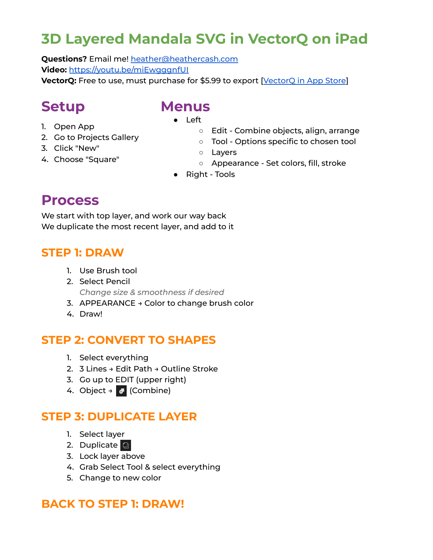## **3D Layered Mandala SVG in VectorQ on iPad**

**Questions?** Email me! [heather@heathercash.com](mailto:heather@heathercash.com) **Video:** <https://youtu.be/miEwgggnfUI> **[VectorQ](https://apps.apple.com/us/app/vector-q-imaengine/id1448103717):** Free to use, must purchase for \$5.99 to export [VectorQ in App Store]

### **Setup**

#### **Menus** ● Left

- 1. Open App
- 2. Go to Projects Gallery
- 3. Click "New"
- 4. Choose "Square"
- Edit Combine objects, align, arrange
- Tool Options specific to chosen tool
- Layers
- Appearance Set colors, fill, stroke
- Right Tools

### **Process**

We start with top layer, and work our way back We duplicate the most recent layer, and add to it

#### **STEP 1: DRAW**

- 1. Use Brush tool
- 2. Select Pencil *Change size & smoothness if desired*
- 3. APPEARANCE → Color to change brush color
- 4. Draw!

#### **STEP 2: CONVERT TO SHAPES**

- 1. Select everything
- 2. 3 Lines → Edit Path → Outline Stroke
- 3. Go up to EDIT (upper right)
- 4. Object →  $\bullet$  (Combine)

#### **STEP 3: DUPLICATE LAYER**

- 1. Select layer
- 2. Duplicate
- 3. Lock layer above
- 4. Grab Select Tool & select everything
- 5. Change to new color

#### **BACK TO STEP 1: DRAW!**